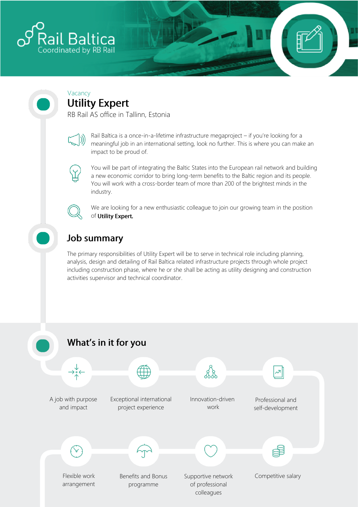

# Vacancy<br>Utility Expert

RB Rail AS office in Tallinn, Estonia



Rail Baltica is a once-in-a-lifetime infrastructure megaproject – if you're looking for a meaningful job in an international setting, look no further. This is where you can make an impact to be proud of.



You will be part of integrating the Baltic States into the European rail network and building a new economic corridor to bring long-term benefits to the Baltic region and its people. You will work with a cross-border team of more than 200 of the brightest minds in the industry.



We are looking for a new enthusiastic colleague to join our growing team in the position of Utility Expert.

## **Job summary**

The primary responsibilities of Utility Expert will be to serve in technical role including planning, analysis, design and detailing of Rail Baltica related infrastructure projects through whole project including construction phase, where he or she shall be acting as utility designing and construction activities supervisor and technical coordinator.